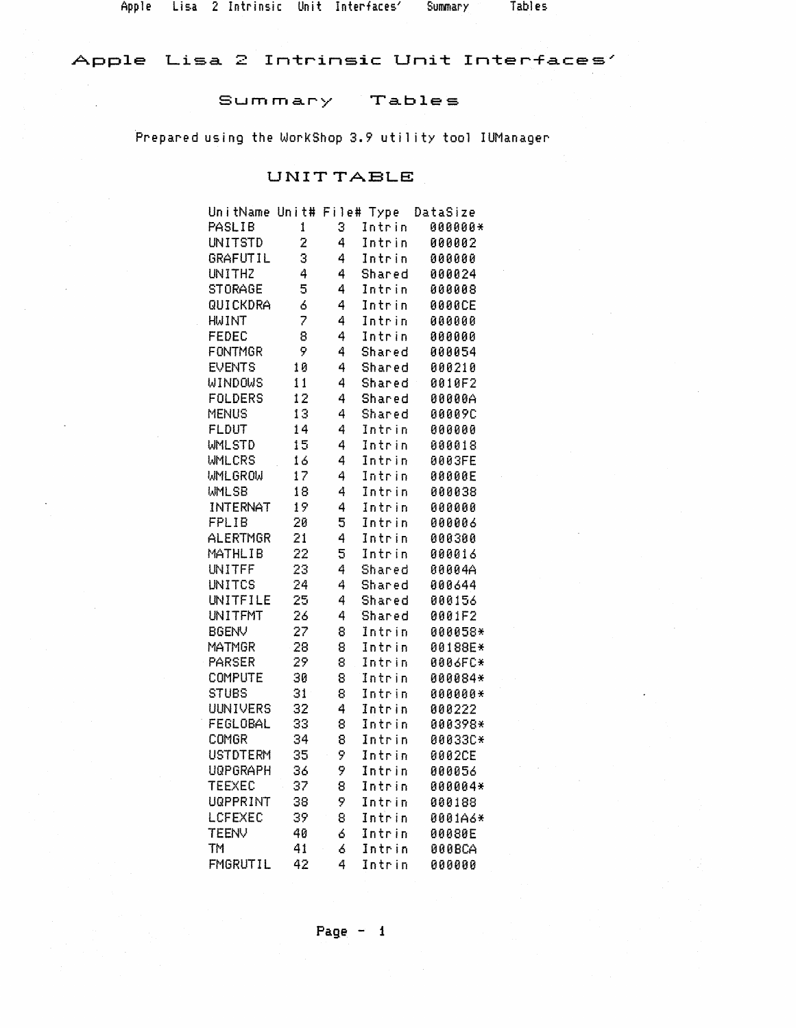Apple Lisa 2 Intrinsic Unit Interfaces' Summary

Tables

# Apple Lisa 2 Intrinsic Unit Interfaces'

#### Summary Tables

Prepared using the WorkShop 3.9 utility tool IUManager

### UNIT TABLE

| UnitName Unit# File# Type |    |   |        | DataSize      |
|---------------------------|----|---|--------|---------------|
| PASLIB                    | 1  | 3 | Intrin | 000000*       |
| <b>UNITSTD</b>            | 2  | 4 | Intrin | 000002        |
| GRAFUTIL                  | 3  | 4 | Intrin | 000000        |
| <b>UNITHZ</b>             | 4  | 4 | Shared | 000024        |
| <b>STORAGE</b>            | 5  | 4 | Intrin | 000008        |
| QUICKDRA                  | 6  | 4 | Intrin | <b>0000CE</b> |
| <b>HWINT</b>              | 7  | 4 | Intrin | 000000        |
| FEDEC                     | 8  | 4 | Intrin | 000000        |
| <b>FONTMGR</b>            | 9  | 4 | Shared | 000054        |
| <b>EVENTS</b>             | 10 | 4 | Shared | 000210        |
| <b>WINDOWS</b>            | 11 | 4 | Shared | 0010F2        |
| <b>FOLDERS</b>            | 12 | 4 | Shared | 00000A        |
| <b>MENUS</b>              | 13 | 4 | Shared | <b>00009C</b> |
| <b>FLDUT</b>              | 14 | 4 | Intrin | 000000        |
| <b>WMLSTD</b>             | 15 | 4 | Intrin | 000018        |
| <b>WMLCRS</b>             | 16 | 4 | Intrin | 0003FE        |
| <b>WMLGROW</b>            | 17 | 4 | Intrin | 00000E        |
| <b>WMLSB</b>              | 18 | 4 | Intrin | 000038        |
| <b>INTERNAT</b>           | 19 | 4 | Intrin | 000000        |
| FPLIB                     | 20 | 5 | Intrin | 000006        |
| ALERTMGR                  | 21 | 4 | Intrin | 000300        |
| MATHLIB                   | 22 | 5 | Intrin | 000016        |
| UNITFF                    | 23 | 4 | Shared | 00004A        |
| <b>UNITCS</b>             | 24 | 4 | Shared | 000644        |
| UNITFILE                  | 25 | 4 | Shared | 000156        |
| <b>UNITFMT</b>            | 26 | 4 | Shared | 0001F2        |
| <b>BGENV</b>              | 27 | 8 | Intrin | 000058*       |
| MATMGR                    | 28 | 8 | Intrin | 00188E*       |
| <b>PARSER</b>             | 29 | 8 | Intrin | 0006FC*       |
| COMPUTE                   | 30 | 8 | Intrin | 000084*       |
| <b>STUBS</b>              | 31 | 8 | Intrin | 000000*       |
| <b>UUNIVERS</b>           | 32 | 4 | Intrin | 000222        |
| FEGLOBAL                  | 33 | 8 | Intrin | 000398*       |
| COMGR                     | 34 | 8 | Intrin | 00033C*       |
| <b>USTDTERM</b>           | 35 | 9 | Intrin | 0002CE        |
| <b>UQPGRAPH</b>           | 36 | 9 | Intrin | 000056        |
| <b>TEEXEC</b>             | 37 | 8 | Intrin | 000004*       |
| <b>UGPPRINT</b>           | 38 | 9 | Intrin | 000188        |
| LCFEXEC                   | 39 | 8 | Intrin | 0001A6*       |
| <b>TEENV</b>              | 40 | 6 | Intrin | 00080E        |
| TM <sub>1</sub>           | 41 | 6 | Intrin | 000BCA        |
| FMGRUTIL                  | 42 | 4 | Intrin | 000000        |

Page  $-1$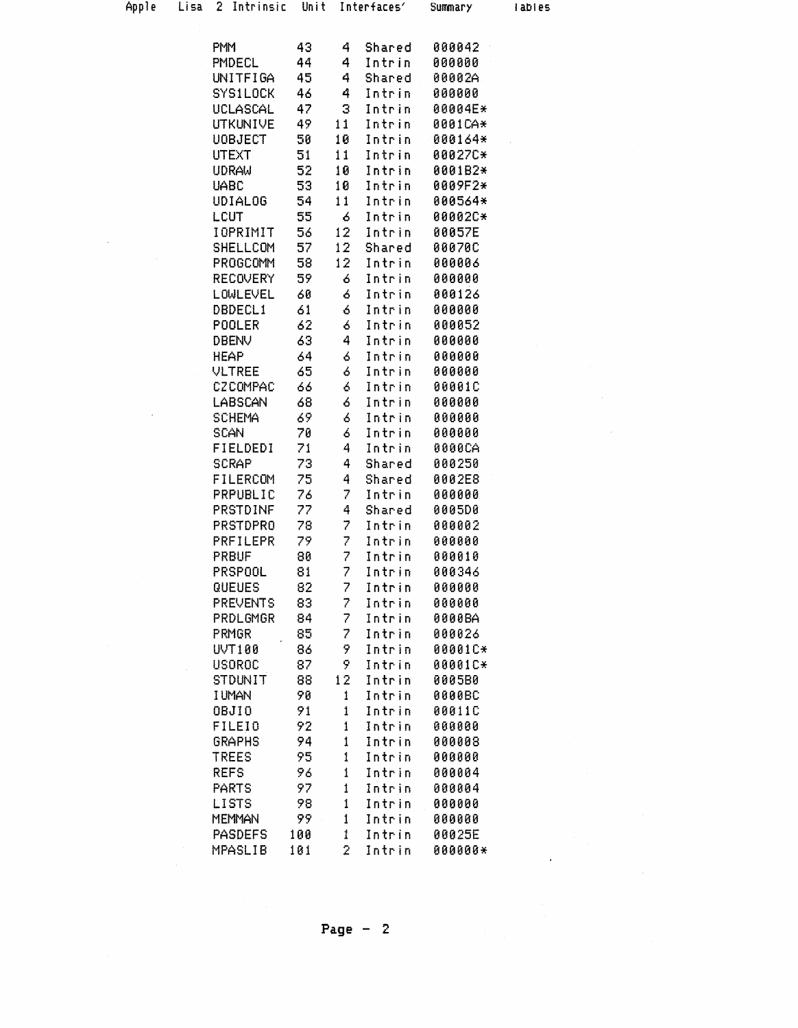| Apple | $L$ isa | 2 Intrinsic              | Unit     |              | Interfaces'      | <b>Summary</b>   | labies |
|-------|---------|--------------------------|----------|--------------|------------------|------------------|--------|
|       |         |                          |          |              |                  |                  |        |
|       |         | PM <sup>1</sup>          | 43       | 4            | Shared           | 000042           |        |
|       |         | PMDECL                   | 44       | 4            | Intrin           | 000000           |        |
|       |         | UNITFIGA                 | 45       | 4            | Shared           | 00002A           |        |
|       |         | <b>SYS1LOCK</b>          | 46       | 4            | Intrin           | 000000           |        |
|       |         | UCLASCAL                 | 47       | 3            | Intrin           | 00004E*          |        |
|       |         | <b>UTKUNIVE</b>          | 49       | 11           | Intrin           | 0001CA*          |        |
|       |         | <b>UOBJECT</b>           | 50       | 10           | Intrin           | 000164*          |        |
|       |         | <b>UTEXT</b>             | 51       | 11           | Intrin           | 00027C*          |        |
|       |         | <b>UDRAW</b>             | 52       | 10           | Intrin           | 0001B2*          |        |
|       |         | <b>UABC</b>              | 53       | 10           | Intrin           | 0009F2*          |        |
|       |         | <b>UDIALOG</b>           | 54       | 11           | Intrin           | 000564*          |        |
|       |         | LCUT                     | 55       | 6            | Intrin           | 00002C*          |        |
|       |         | IOPRIMIT                 | 56       | 12           | Intrin           | 00057E           |        |
|       |         | <b>SHELLCOM</b>          | 57       | 12           | Shared           | <b>00070C</b>    |        |
|       |         | <b>PROGCOMM</b>          | 58       | 12           | Intrin           | 000006           |        |
|       |         | <b>RECOVERY</b>          | 59       | 6            | Intrin           | 000000           |        |
|       |         | LOWLEVEL                 | 60       | ó            | Intrin           | 000126           |        |
|       |         | DBDECL1                  | 61       | 6            | Intrin           | 000000           |        |
|       |         | POOLER                   | 62       | ó            | Intrin           | 000052           |        |
|       |         | DBENV                    | 63       | 4            | Intrin           | 000000           |        |
|       |         | <b>HEAP</b>              | 64       | ó            | Intrin           | 000000           |        |
|       |         | <b>VLTREE</b>            | 65       | 6            | Intrin           | 000000           |        |
|       |         | <b>CZCOMPAC</b>          | 66       | 6            | Intrin           | 00001C           |        |
|       |         | LABSCAN                  | 68       | 6            | Intrin           | 000000           |        |
|       |         | <b>SCHEMA</b>            | 69       | 6            | Intrin           | 000000           |        |
|       |         | <b>SCAN</b>              | 70<br>71 | 6<br>4       | Intrin           | 000000           |        |
|       |         | FIELDEDI<br><b>SCRAP</b> | 73       | 4            | Intrin           | 0000CA<br>000250 |        |
|       |         | <b>FILERCOM</b>          | 75       | 4            | Shared<br>Shared | 0002E8           |        |
|       |         | PRPUBLIC                 | 76       | 7            | Intrin           | 000000           |        |
|       |         | <b>PRSTDINF</b>          | 77       | 4            | Shared           | 0005D0           |        |
|       |         | <b>PRSTDPRO</b>          | 78       | 7            | Intrin           | 000002           |        |
|       |         | PRFILEPR                 | 79.      | 7            | Intrin           | 000000           |        |
|       |         | <b>PRBUF</b>             | 80       | 7            | Intrin           | 000010           |        |
|       |         | PRSPOOL                  | 81       | 7            | Intrin           | 000346           |        |
|       |         | <b>QUEUES</b>            | 82       | 7            | Intrin           | 000000           |        |
|       |         | <b>PREVENTS</b>          | 83       | 7            | Intrin           | 000000           |        |
|       |         | PRDLGMGR                 | 84       | 7            | Intrin           | 0000BA           |        |
|       |         | PRMGR                    | 85       | 7            | Intrin           | 000026           |        |
|       |         | <b>UVT100</b>            | 86       | 9            | Intrin           | 00001C*          |        |
|       |         | <b>USOROC</b>            | 87       | 9.           | Intrin           | 00001C*          |        |
|       |         | <b>STDUNIT</b>           | 88       | 12           | Intrin           | 0005B0           |        |
|       |         | <b>IUMAN</b>             | 90       | 1            | Intrin           | 0000BC           |        |
|       |         | <b>OBJIO</b>             | 91       | 1            | Intrin           | 00011C           |        |
|       |         | <b>FILEIO</b>            | 92       | 1            | Intrin           | 000000           |        |
|       |         | <b>GRAPHS</b>            | 94.      | $\mathbf{1}$ | Intrin           | 000008           |        |
|       |         | <b>TREES</b>             | 95       | į            | Intrin           | 000000           |        |
|       |         | <b>REFS</b>              | 96       | $\mathbf{1}$ | Intrin           | 000004           |        |
|       |         | <b>PARTS</b>             | 97       | $\mathbf{1}$ | Intrin           | 000004           |        |
|       |         | <b>LISTS</b>             | 98       | 1            | Intrin           | 000000           |        |
|       |         | <b>MEMMAN</b>            | 99.      | $\pmb{1}$    | Intrin           | 000000           |        |
|       |         | <b>PASDEFS</b>           | 100      | 1            | Intrin           | 00025E           |        |
|       |         | <b>MPASLIB</b>           | 101      | 2            | Intrin           | 000000*          |        |
|       |         |                          |          |              |                  |                  |        |

 $\sim 10$ 

 $\epsilon$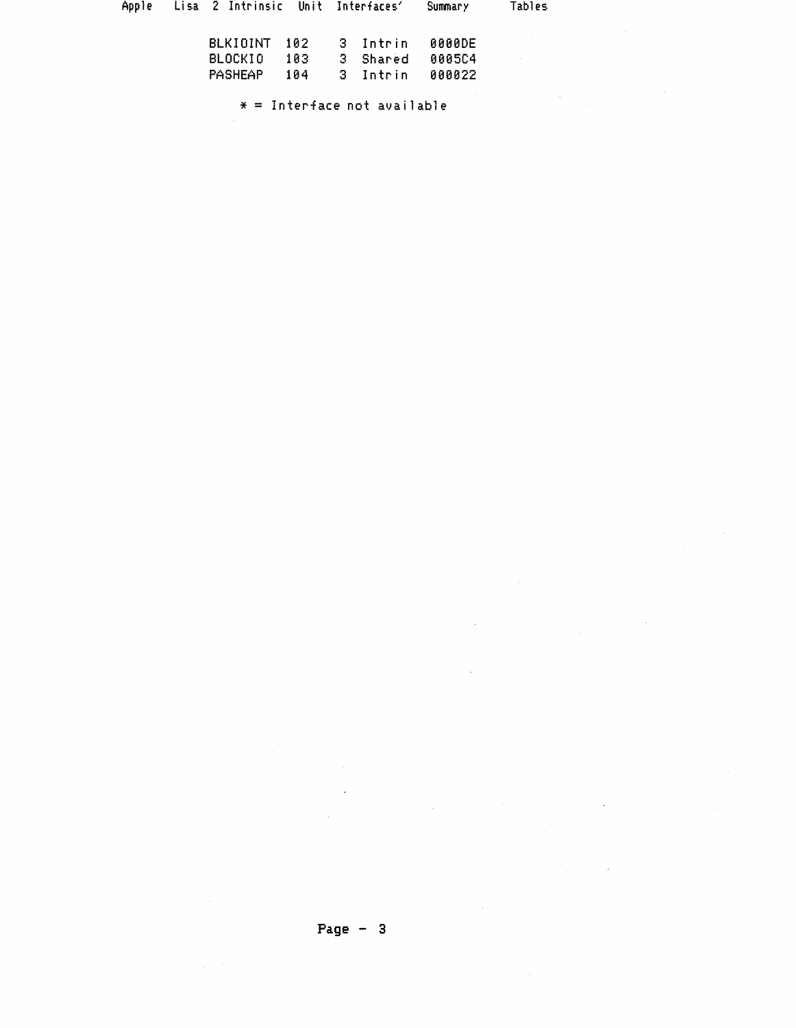|  | Apple - Lisa 2 Intrinsic - Unit Interfaces' |       |            | Summary       | Tables |
|--|---------------------------------------------|-------|------------|---------------|--------|
|  | BLKININT 102                                |       | -3 Intrin  | <b>0000DE</b> |        |
|  | BLOCKIO                                     | -103- | 3 Shared   | 000504        |        |
|  | <b>PASHEAP</b>                              | 104   | .3. Intrin | <b>000022</b> |        |

 $* =$  Interface not available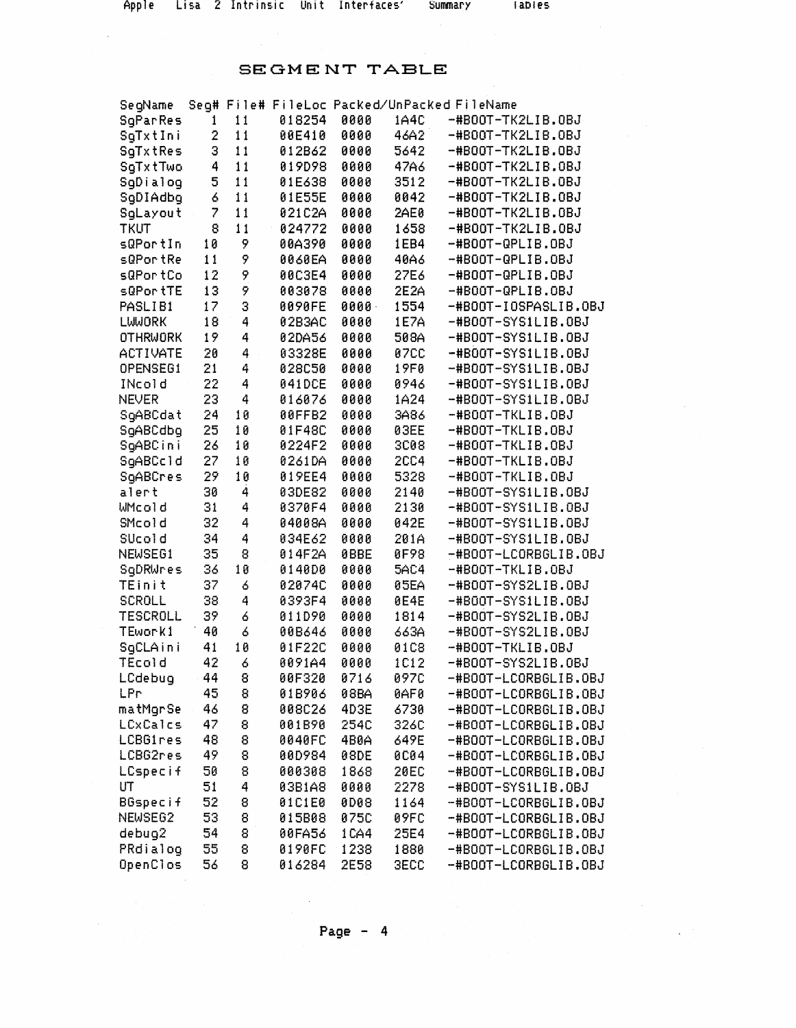## SEGMENT TABLE

| SegName             |    |    |        |             |             | Seg# File# FileLoc Packed/UnPacked FileName |
|---------------------|----|----|--------|-------------|-------------|---------------------------------------------|
| SgParRes            | 1  | 11 | 018254 | 0000        | 1A4C        | -#B00T-TK2LIB.0BJ                           |
| SgTxtIni            | 2  | 11 | 00E410 | 0000        | 46A2        | -#B00T-TK2LIB.0BJ                           |
| SgTxtRes            | З  | 11 | 012B62 | 0000        | 5642        | -#B00T-TK2LIB.0BJ                           |
| SgTxtTwo            | 4  | 11 | 019D98 | 0000        | 47A6        | -#B00T-TK2LIB.0BJ                           |
| SgDialog            | 5  | 11 | 01E638 | 0000        | 3512        | -#BOOT-TK2LIB.OBJ                           |
| SgDIAdbg            | 6  | 11 | 01E55E | 0000        | 0042        | -#B00T-TK2LIB.0BJ                           |
| SgLayout            | 7  | 11 | 021C2A | 0000        | 2AE0        | -#BOOT-TK2LIB.OBJ                           |
| <b>TKUT</b>         | 8  | 11 | 024772 | 0000        | 1658        | -#B00T-TK2LIB.0BJ                           |
| sQPortIn            | 10 | 9  | 00A390 | 0000        | 1EB4        | -#BOOT-QPLIB.OBJ                            |
| sQPortRe            | 11 | 9  | 0060EA | 0000        | 40A6        | -#BOOT-QPLIB.OBJ                            |
| sQPortCo            | 12 | 9  | 00C3E4 | 0000        | 27E6        | -#BOOT-QPLIB.OBJ                            |
| sQPortTE            | 13 | 9  | 003078 | 0000        | 2E2A        | -#BOOT-QPLIB.OBJ                            |
| PASLIB1             | 17 | 3  | 0090FE | 0000        | 1554        | -#B00T-IOSPASLIB.0BJ                        |
| LWWORK              | 18 | 4  | 02B3AC | 0000        | 1E7A        | -#B00T-SYS1LIB.0BJ                          |
| <b>OTHRWORK</b>     | 19 | 4  | 02DA56 | 0000        | 508A        | -#B00T-SYS1LIB.0BJ                          |
| <b>ACTIVATE</b>     | 20 | 4  | 03328E | 0000        | <b>07CC</b> | -#BOOT-SYSILIB.OBJ                          |
| OPENSEG1            | 21 | 4  | 028050 | 0000        | 19F0        | -#B00T-SYS1LIB.0BJ                          |
| INcold              | 22 | 4  | 041DCE | 0000        | 0946        | -#BOOT-SYSILIB.OBJ                          |
| <b>NEVER</b>        | 23 | 4  | 016076 | 0000        | 1A24        | -#BOOT-SYSILIB.OBJ                          |
| SgABCdat            | 24 | 10 | 00FFB2 | 0000        | 3A86        | -#BOOT-TKLIB.OBJ                            |
| SgABCdbg            | 25 | 10 | 01F48C | 0000        | 03EE        | -#BOOT-TKLIB.OBJ                            |
| SgABCini            | 26 | 10 | 0224F2 | 0000        | 3008        | -#BOOT-TKLIB.OBJ                            |
| SgABCc1d            | 27 | 10 | 0261DA | 0000        | <b>2CC4</b> | -#BOOT-TKLIB.OBJ                            |
| SqABCres            | 29 | 10 | 019EE4 | 0000        | 5328        | -#BOOT-TKLIB.0BJ                            |
| alert               | 30 | 4  | 03DE82 | 0000        | 2140        | -#BOOT-SYSILIB.OBJ                          |
| WMcold              | 31 | 4  | 0370F4 | 0000        | 2130        | -#BOOT-SYSILIB.OBJ                          |
| SMcold              | 32 | 4  | 04008A | 0000        | 042E        | -#BOOT-SYSILIB.OBJ                          |
| SUcold              | 34 | 4  | 034E62 | 0000        | 201A        | -#BOOT-SYSILIB.OBJ                          |
| NEWSEG1             | 35 | 8  | 014F2A | <b>ØBBE</b> | 0F98        | -#BOOT-LCORBGLIB.OBJ                        |
| SgDRWres            | 36 | 10 | 0140D0 | 0000        | <b>5AC4</b> | -#BOOT-TKLIB.OBJ                            |
| TEinit              | 37 | 6  | 02074C | 0000        | 05EA        | -#B00T-SYS2LIB.0BJ                          |
| <b>SCROLL</b>       | 38 | 4  | 0393F4 | 0000        | 0E4E        | -#B00T-SYS1LIB.0BJ                          |
| <b>TESCROLL</b>     | 39 | 6  | 011D90 | 0000        | 1814        | -#B00T-SYS2LIB.0BJ                          |
| TEwork1             | 40 | ó  | 00B646 | 0000        | 663A        | -#B00T-SYS2LIB.0BJ                          |
| SgCLAini            | 41 | 10 | 01F22C | 0000        | 01C8        | -#BOOT-TKLIB.OBJ                            |
| <b>TEcold</b>       | 42 | 6  | 0091A4 | 0000        | 1C12        | -#B00T-SYS2LIB.0BJ                          |
| LCdebug             | 44 | 8  | 00F320 | 0716        | 097C        | -#BOOT-LCORBGLIB.OBJ                        |
| LPr                 | 45 | 8  | 01B906 | 98BA        | <b>BAFB</b> | -#BOOT-LCORBGLIB.OBJ                        |
| matMgrSe            | 46 | 8  | 008C26 | 4D3E        | 6730        | -#BOOT-LCORBGLIB.OBJ                        |
| LCxCalcs            | 47 | 8  | 001B90 | 254C        | 326C        | -#BOOT-LCORBGLIB.OBJ                        |
| LCBGires            | 48 | 8  | 0040FC | 4B0A        | 649E        | -#BOOT-LCORBGLIB.OBJ                        |
| LCBG2res            | 49 | 8  | 00D984 | <b>08DE</b> | <b>0C04</b> | -#BOOT-LCORBGLIB.OBJ                        |
| <b>LCspecif</b>     | 50 | 8  | 000308 | 1868        | <b>20EC</b> | -#BOOT-LCORBGLIB.OBJ                        |
| UT                  | 51 | 4  | 03B1A8 | 0000        | 2278        | -#BOOT-SYS1LIB.OBJ                          |
| <b>BGspecif</b>     | 52 | 8  | 01C1E0 | <b>0D08</b> | 1164        | -#BOOT-LCORBGLIB.OBJ                        |
| NEWSE <sub>62</sub> | 53 | 8  | 015B08 | 075C        | <b>09FC</b> | -#BOOT-LCORBGLIB.OBJ                        |
| debug2              | 54 | 8  | 00FA56 | 1CA4        | 25E4        | -#BOOT-LCORBGLIB.OBJ                        |
| PRdialog            | 55 | 8  | 0190FC | 1238        | 1880        | -#BOOT-LCORBGLIB.OBJ                        |
| <b>OpenClos</b>     | 56 | 8  | 016284 | 2E58        | <b>3ECC</b> | -#BOOT-LCORBGLIB.OBJ                        |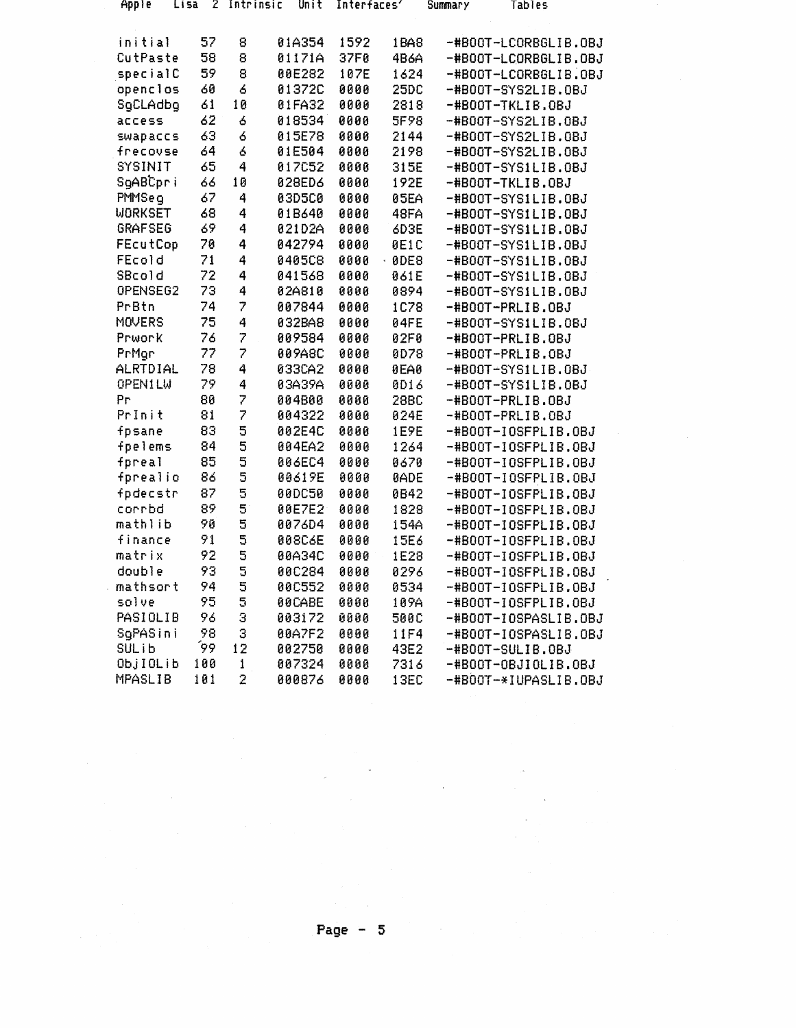| Apple           | LI 52<br>- 2 | Intrinsic                | Unit          | Interfaces' |             | Summary | Tables               |  |
|-----------------|--------------|--------------------------|---------------|-------------|-------------|---------|----------------------|--|
| initial         | 57           | 8                        | 01A354        | 1592        | 1BA8        |         | -#B00T-LCORBGLIB.0BJ |  |
| CutPaste        | 58           | 8                        | 01171A        | 37F0        | 4B6A        |         | -#B00T-LCORBGLIB.OBJ |  |
| specialC        | 59           | 8                        | 00E282        | 107E        | 1624        |         | -#B00T-LCORBGLIB.0BJ |  |
| openclos        | 60           | 6                        | 01372C        | 0000        | 25DC        |         | -#B00T-SYS2LIB.0BJ   |  |
| SgCLAdbg        | 61           | 10                       | 01FA32        | 0000        | 2818        |         | -#BOOT-TKLIB.OBJ     |  |
| access          | 62           | 6                        | 018534        | 0000        | 5F98        |         | -#B00T-SYS2LIB.0BJ   |  |
| <b>SWADACCS</b> | 63           | 6                        | 015E78        | 0000        | 2144        |         | -#B00T-SYS2LIB.0BJ   |  |
| frecovse        | 64           | 6                        | 01E504        | 0000        | 2198        |         | -#BOOT-SYS2LIB.0BJ   |  |
| <b>SYSINIT</b>  | 65           | 4                        | 017C52        | 0000        | 315E        |         | $-HBOOT-SYS1LIB.OBJ$ |  |
| SgABCpri        | 66           | 10                       | 028ED6        | 0000        | 192E        |         | -#B00T-TKLIB.0BJ     |  |
| PMMSeq          | 67           | 4                        | 03D5C0        | 0000        | 05EA        |         | -#BOOT-SYS1LIB.OBJ   |  |
| <b>WORKSET</b>  | 68           | 4                        | 01B640        | 0000        | 48FA        |         | -#BOOT-SYSILIB.OBJ   |  |
| <b>GRAFSEG</b>  | 69           | 4                        | 021D2A        | 0000        | 6D3E        |         | -#BOOT-SYS1LIB.OBJ   |  |
| <b>FEcutCop</b> | 70           | 4                        | 042794        | 0000        | 0E1C        |         | -#B00T-SYS1LIB.0BJ   |  |
| <b>FEcold</b>   | 71           | 4                        | <b>0405C8</b> | 0000        | $-00E8$     |         | -#B00T-SYS1LIB.0BJ   |  |
| SBcold          | 72           | 4                        | 041568        | 0000        | 061E        |         | -#B00T-SYS1LIB.0BJ   |  |
| OPENSEG2        | 73           | 4                        | 82A810        | 0000        | 0894        |         | -#BOOT-SYSILIB.OBJ   |  |
| PrBtn           | 74           | $\overline{\mathcal{L}}$ | 007844        | 0000        | 1C78        |         | -#BOOT-PRLIB.OBJ     |  |
| <b>MOVERS</b>   | 75           | 4                        | 032BA8        | 0000        | 04FE        |         | -#B00T-SYS1LIB.0BJ   |  |
| Prwork          | 76           | $\overline{z}$           | 009584        | 0000        | 02F0        |         | -#BOOT-PRLIB.OBJ     |  |
| PrMgr           | 77           | $\overline{z}$           | 009A8C        | 0000        | 0D78        |         | -#BOOT-PRLIB.OBJ     |  |
| <b>ALRTDIAL</b> | 78           | 4                        | 033CA2        | 0000        | 0EA0        |         | -#BOOT-SYSILIB.OBJ   |  |
| <b>OPENILW</b>  | 79           | 4                        | 03A39A        | 0000        | 0D16        |         | -#B00T-SYS1LIB.0BJ   |  |
| Рr              | 80           | $\overline{\mathbf{z}}$  | 004B00        | 0000        | 28BC        |         | -#BOOT-PRLIB.OBJ     |  |
| Prinit          | 81           | 7                        | 004322        | 0000        | 024E        |         | -#BOOT-PRLIB.OBJ     |  |
| fpsane          | 83           | 5                        | 002E4C        | 0000        | 1E9E        |         | -#B00T-IOSFPLIB.0BJ  |  |
| fpelems         | 84           | 5                        | 004EA2        | 0000        | 1264        |         | -#B00T-IOSFPLIB.0BJ  |  |
| fpreal          | 85           | $\overline{\mathbf{5}}$  | <b>006EC4</b> | 0000        | 0670        |         | -#B00T-IOSFPLIB.0BJ  |  |
| fprealio        | 86           | 5                        | 00619E        | 0000        | <b>BADE</b> |         | -#B00T-IOSFPLIB.0BJ  |  |
| fpdecstr        | 87           | 5                        | <b>00DC50</b> | 0000        | 0B42        |         | -#B00T-IOSFPLIB.0BJ  |  |
| corrbd          | 89           | $\mathbf 5$              | 00E7E2        | 0000        | 1828        |         | -#B00T-10SFPL1B.0BJ  |  |
| mathlib         | 90           | 5                        | 0076D4        | 0000        | 154A        |         | -#B00T-IOSFPLIB.0BJ  |  |
| finance         | 91           | 5                        | 008C6E        | 0000        | 15E6        |         | -#B00T-10SFPLIB.0BJ  |  |
| matrix          | 92           | 5                        | 00A34C        | 0000        | 1E28        |         | -#B00T-IOSFPLIB.0BJ  |  |
| double          | 93           | 5                        | 00C284        | 0000        | 8296        |         | -#B00T-I0SFPLIB.0BJ  |  |
| mathsort        | 94           | 5                        | <b>00C552</b> | 0000        | 0534        |         | -#BOOT-10SFPLIB.OBJ  |  |
| solve           | 95           | 5                        | <b>BBCABE</b> | 0000        | 109A        |         | -#B00T-I0SFPLIB.0BJ  |  |
| PASIOLIB        | 96           | 3                        | 003172        | 0000        | 500C        |         | -#B00T-IOSPASLIB.0BJ |  |
| SqPASini        | 98           | 3                        | 00A7F2        | 0000        | 11F4        |         | -#B00T-IOSPASLIB.0BJ |  |
| <b>SULib</b>    | 99.          | 12                       | 002750        | 0000        | 43E2        |         | -#BOOT-SULIB.OBJ     |  |
| ObjIOLib        | 100          | 1                        | 007324        | 0000        | 7316        |         | -#BOOT-OBJIOLIB.OBJ  |  |
| MPASLIB         | 101          | $\bar{z}$                | 000876        | 0000        | 13EC        |         | -#BOOT-*IUPASLIB.OBJ |  |

Page  $-5$ 

 $\mathcal{O}(\mathcal{O}(\log n))$ 

ta<br>1970 - Andrew Barnett, amerikanischer Schweizer<br>1970 - Andrew Barnett, amerikanischer Schweizer